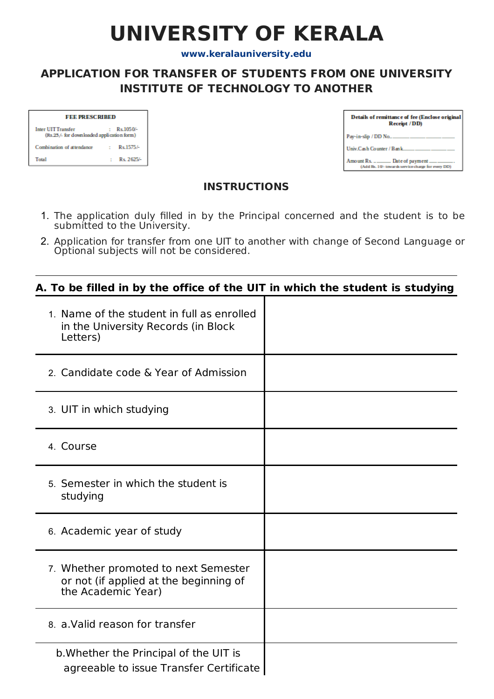# **UNIVERSITY OF KERALA**

**[www.keralauniversity.edu](http://www.keralauniversity.edu/)**

## **APPLICATION FOR TRANSFER OF STUDENTS FROM ONE UNIVERSITY INSTITUTE OF TECHNOLOGY TO ANOTHER**

| <b>FEE PRESCRIBED</b>                                                               |  |            |
|-------------------------------------------------------------------------------------|--|------------|
| <b>Inter UIT Transfer</b><br>Rs 1050/-<br>(Rs.25/- for downloaded application form) |  |            |
| Combination of attendance                                                           |  | Rs.1575/-  |
| Total                                                                               |  | Rs. 2625/- |

| Details of remittance of fee (Enclose original<br>Receipt / DD) |  |
|-----------------------------------------------------------------|--|
| Pay-in-slip / DD No                                             |  |
| Univ.Cash Counter / Bank                                        |  |
| (Add Rs. 10'- towards service charge for every DD)              |  |

### **INSTRUCTIONS**

- 1. The application duly filled in by the Principal concerned and the student is to be submitted to the University.
- 2. Application for transfer from one UIT to another with change of Second Language or Optional subjects will not be considered.

### **A. To be filled in by the office of the UIT in which the student is studying**

| 1. Name of the student in full as enrolled<br>in the University Records (in Block<br>Letters)        |  |
|------------------------------------------------------------------------------------------------------|--|
| 2. Candidate code & Year of Admission                                                                |  |
| 3. UIT in which studying                                                                             |  |
| 4. Course                                                                                            |  |
| 5. Semester in which the student is<br>studying                                                      |  |
| 6. Academic year of study                                                                            |  |
| 7. Whether promoted to next Semester<br>or not (if applied at the beginning of<br>the Academic Year) |  |
| 8. a. Valid reason for transfer                                                                      |  |
| b. Whether the Principal of the UIT is<br>agreeable to issue Transfer Certificate                    |  |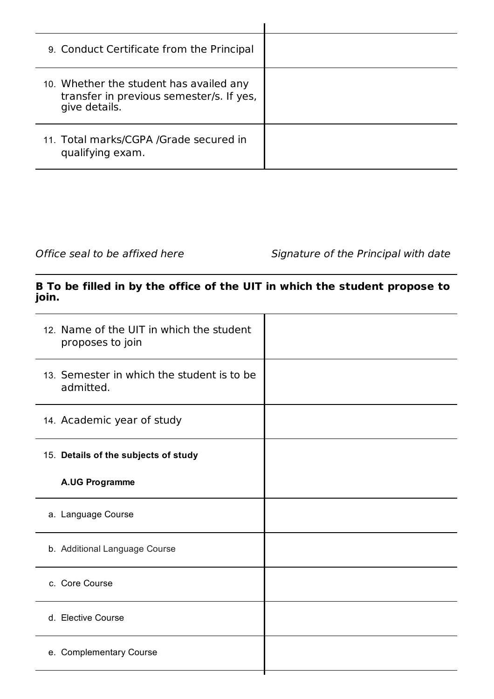| 9. Conduct Certificate from the Principal                                                            |  |
|------------------------------------------------------------------------------------------------------|--|
| 10. Whether the student has availed any<br>transfer in previous semester/s. If yes,<br>give details. |  |
| 11. Total marks/CGPA /Grade secured in<br>qualifying exam.                                           |  |

Office seal to be affixed here Signature of the Principal with date

### **B To be filled in by the office of the UIT in which the student propose to join.**

| 12. Name of the UIT in which the student<br>proposes to join |  |
|--------------------------------------------------------------|--|
| 13. Semester in which the student is to be<br>admitted.      |  |
| 14. Academic year of study                                   |  |
| 15. Details of the subjects of study                         |  |
| <b>A.UG Programme</b>                                        |  |
| a. Language Course                                           |  |
| b. Additional Language Course                                |  |
| c. Core Course                                               |  |
| d. Elective Course                                           |  |
| e. Complementary Course                                      |  |